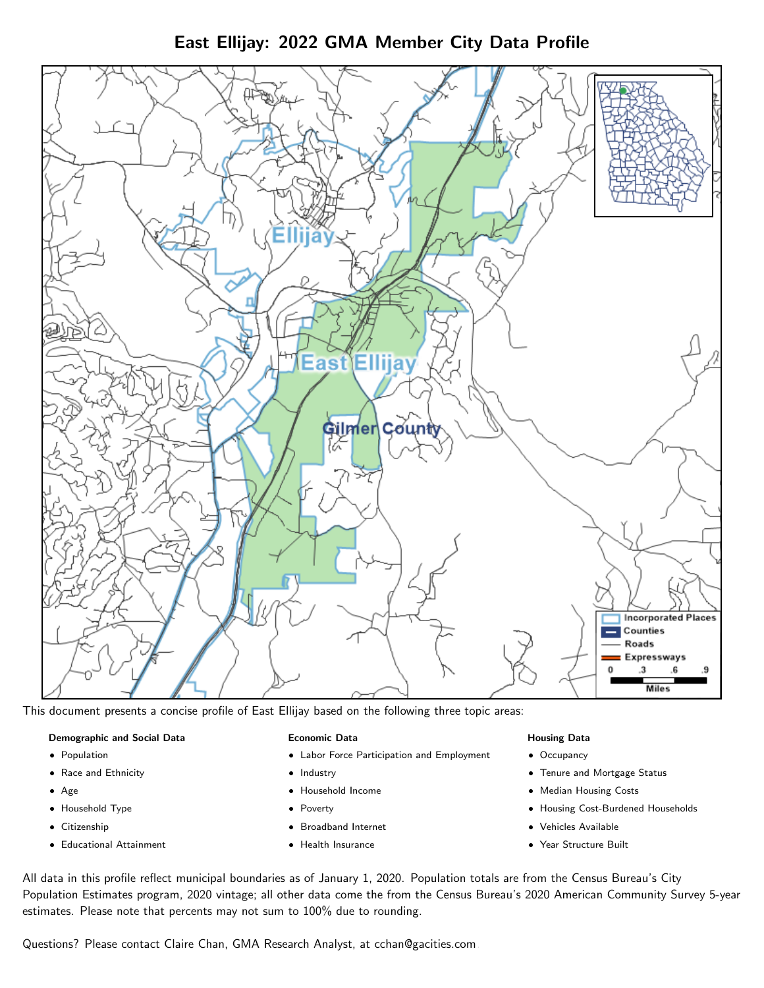East Ellijay: 2022 GMA Member City Data Profile



This document presents a concise profile of East Ellijay based on the following three topic areas:

# Demographic and Social Data

- **•** Population
- Race and Ethnicity
- Age
- Household Type
- **Citizenship**
- Educational Attainment

# Economic Data

- Labor Force Participation and Employment
- Industry
- Household Income
- Poverty
- Broadband Internet
- Health Insurance

# Housing Data

- Occupancy
- Tenure and Mortgage Status
- Median Housing Costs
- Housing Cost-Burdened Households
- Vehicles Available
- Year Structure Built

All data in this profile reflect municipal boundaries as of January 1, 2020. Population totals are from the Census Bureau's City Population Estimates program, 2020 vintage; all other data come the from the Census Bureau's 2020 American Community Survey 5-year estimates. Please note that percents may not sum to 100% due to rounding.

Questions? Please contact Claire Chan, GMA Research Analyst, at [cchan@gacities.com.](mailto:cchan@gacities.com)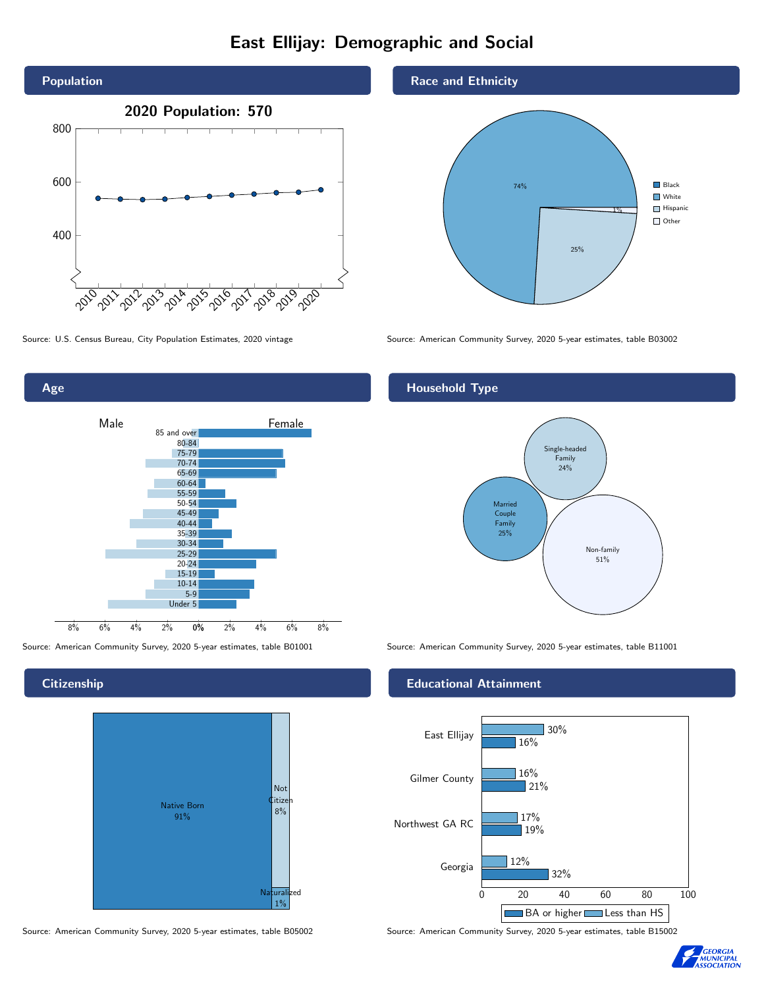# East Ellijay: Demographic and Social





**Citizenship** 

Age



Source: American Community Survey, 2020 5-year estimates, table B05002 Source: American Community Survey, 2020 5-year estimates, table B15002

# Race and Ethnicity



Source: U.S. Census Bureau, City Population Estimates, 2020 vintage Source: American Community Survey, 2020 5-year estimates, table B03002

# Household Type



Source: American Community Survey, 2020 5-year estimates, table B01001 Source: American Community Survey, 2020 5-year estimates, table B11001

# Educational Attainment



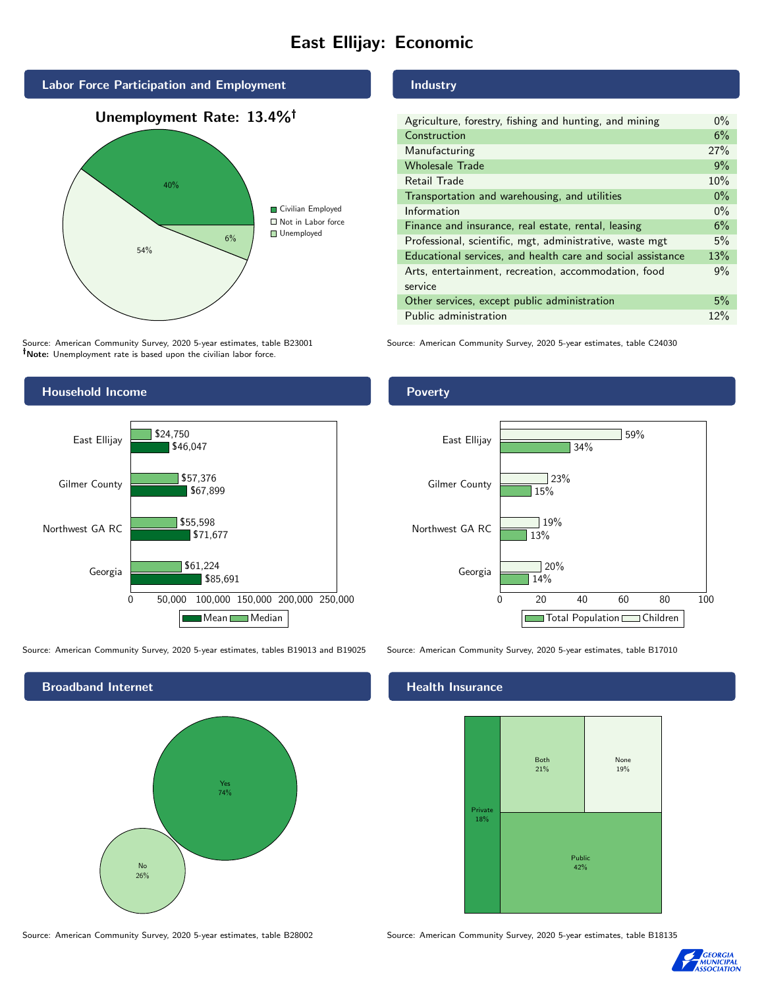# East Ellijay: Economic



Source: American Community Survey, 2020 5-year estimates, table B23001 Note: Unemployment rate is based upon the civilian labor force.

#### Industry

| Agriculture, forestry, fishing and hunting, and mining      | $0\%$ |
|-------------------------------------------------------------|-------|
| Construction                                                | 6%    |
| Manufacturing                                               | 27%   |
| <b>Wholesale Trade</b>                                      | 9%    |
| Retail Trade                                                | 10%   |
| Transportation and warehousing, and utilities               | $0\%$ |
| Information                                                 | $0\%$ |
| Finance and insurance, real estate, rental, leasing         | 6%    |
| Professional, scientific, mgt, administrative, waste mgt    | 5%    |
| Educational services, and health care and social assistance | 13%   |
| Arts, entertainment, recreation, accommodation, food        | 9%    |
| service                                                     |       |
| Other services, except public administration                | 5%    |
| Public administration                                       | 12%   |

Source: American Community Survey, 2020 5-year estimates, table C24030



Source: American Community Survey, 2020 5-year estimates, tables B19013 and B19025 Source: American Community Survey, 2020 5-year estimates, table B17010

Broadband Internet No 26% Yes 74%

#### Health Insurance





# Poverty



Source: American Community Survey, 2020 5-year estimates, table B28002 Source: American Community Survey, 2020 5-year estimates, table B18135